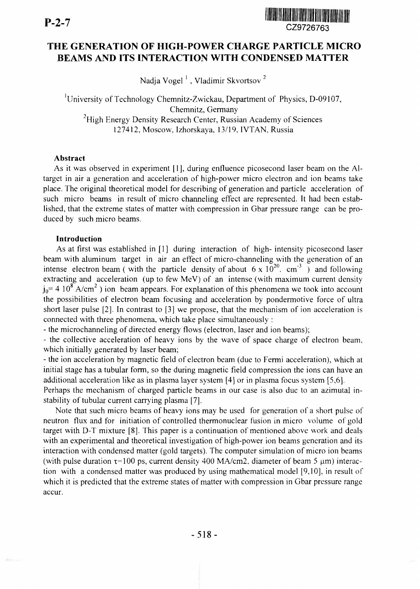

# r x *'* CZ9726763 THE GENERATION OF HIGH-POWER CHARGE PARTICLE MICRO BEAMS AND ITS INTERACTION WITH CONDENSED MATTER

Nadja Vogel<sup>1</sup>, Vladimir Skvortsov<sup>2</sup>

<sup>1</sup>University of Technology Chemnitz-Zwickau, Department of Physics, D-09107, Chemnitz, Germany <sup>2</sup>High Energy Density Research Center, Russian Academy of Sciences 127412, Moscow, Izhorskaya, 13/19, IVTAN, Russia

## **Abstract**

As it was observed in experiment [1], during enfluence picosecond laser beam on the Altarget in air a generation and acceleration of high-power micro electron and ion beams take place. The original theoretical model for describing of generation and particle acceleration of such micro beams in result of micro channeling effect are represented. It had been established, that the extreme states of matter with compression in Gbar pressure range can be produced by such micro beams.

#### **Introduction**

As at first was established in [1] during interaction of high- intensity picosecond laser beam with aluminum target in air an effect of micro-channeling with the generation of an intense electron beam (with the particle density of about 6 x  $10^{20}$ . cm<sup>-3</sup> ) and following extracting and acceleration (up to few MeV) of an intense (with maximum current density  $j_0$  = 4 10<sup>8</sup> A/cm<sup>2</sup>) ion beam appears. For explanation of this phenomena we took into account the possibilities of electron beam focusing and acceleration by pondermotive force of ultra short laser pulse [2]. In contrast to [3] we propose, that the mechanism of ion acceleration is connected with three phenomena, which take place simultaneously :

- the microchanneling of directed energy flows (electron, laser and ion beams);

- the collective acceleration of heavy ions by the wave of space charge of electron beam, which initially generated by laser beam;

- the ion acceleration by magnetic field of electron beam (due to Fermi acceleration), which at initial stage has a tubular form, so the during magnetic field compression the ions can have an additional acceleration like as in plasma layer system [4] or in plasma focus system [5,6].

Perhaps the mechanism of charged particle beams in our case is also due to an azimutal instability of tubular current carrying plasma [7].

Note that such micro beams of heavy ions may be used for generation of a short pulse of neutron flux and for initiation of controlled thermonuclear fusion in micro volume of gold target with D-T mixture [8]. This paper is a continuation of mentioned above work and deals with an experimental and theoretical investigation of high-power ion beams generation and its interaction with condensed matter (gold targets). The computer simulation of micro ion beams (with pulse duration  $\tau$ =100 ps, current density 400 MA/cm2, diameter of beam 5  $\mu$ m) interaction with a condensed matter was produced by using mathematical model [9,10], in result of which it is predicted that the extreme states of matter with compression in Gbar pressure range accur.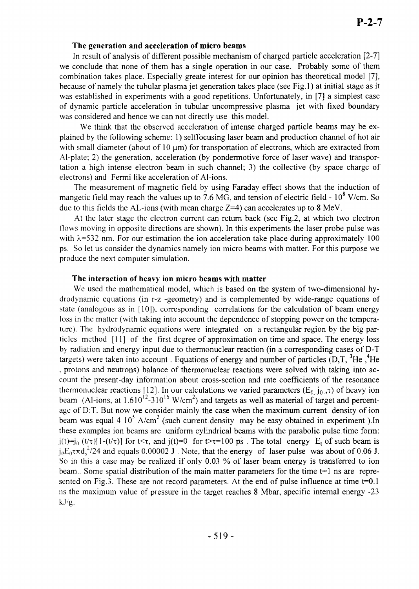### **The generation and acceleration of micro beams**

In result of analysis of different possible mechanism of charged particle acceleration [2-7] we conclude that none of them has a single operation in our case. Probably some of them combination takes place. Especially greate interest for our opinion has theoretical model [7], because of namely the tubular plasma jet generation takes place (see Fig.l) at initial stage as it was established in experiments with a good repetitions. Unfortunately, in [7] a simplest case of dynamic particle acceleration in tubular uncompressive plasma jet with fixed boundary was considered and hence we can not directly use this model.

We think that the observed acceleration of intense charged particle beams may be explained by the following scheme: 1) selffocusing laser beam and production channel of hot air with small diameter (about of  $10 \mu m$ ) for transportation of electrons, which are extracted from Al-plate; 2) the generation, acceleration (by pondermotive force of laser wave) and transportation a high intense electron beam in such channel; 3) the collective (by space charge of electrons) and Fermi like acceleration of Al-ions.

The measurement of magnetic field by using Faraday effect shows that the induction of mangetic field may reach the values up to 7.6 MG, and tension of electric field -  $10^8$  V/cm. So due to this fields the AL-ions (with mean charge  $Z=4$ ) can accelerates up to 8 MeV.

At the later stage the electron current can return back (see Fig.2, at which two electron flows moving in opposite directions are shown). In this experiments the laser probe pulse was with  $\lambda$ =532 nm. For our estimation the ion acceleration take place during approximately 100 ps. So let us consider the dynamics namely ion micro beams with matter. For this purpose we produce the next computer simulation.

#### **The interaction of heavy ion micro beams with matter**

We used the mathematical model, which is based on the system of two-dimensional hydrodynamic equations (in r-z -geometry) and is complemented by wide-range equations of state (analogous as in [10]), corresponding correlations for the calculation of beam energy loss in the matter (with taking into account the dependence of stopping power on the temperature). The hydrodynamic equations were integrated on a rectangular region by the big particles method [11] of the first degree of approximation on time and space. The energy loss by radiation and energy input due to thermonuclear reaction (in a corresponding cases of D-T targets) were taken into account. Equations of energy and number of particles  $(D,T, \,^3He, \,^4He)$ . protons and neutrons) balance of thermonuclear reactions were solved with taking into account the present-day information about cross-section and rate coefficients of the resonance thermonuclear reactions [12]. In our calculations we varied parameters ( $E_{0}$  j<sub>0</sub>, $\tau$ ) of heavy ion beam (Al-ions, at 1.610<sup>12</sup>-310<sup>16</sup> W/cm<sup>2</sup>) and targets as well as material of target and percentage of D:T. But now we consider mainly the case when the maximum current density of ion beam was equal 4 10<sup>5</sup> A/cm<sup>2</sup> (such current density may be easy obtained in experiment). In these examples ion beams are uniform cylindrical beams with the parabolic pulse time form:  $i(t) = i_0$  ( $t/\tau$ )[1-( $t/\tau$ ]] for  $t < \tau$ , and  $i(t) = 0$  for  $t > \tau = 100$  ps. The total energy E, of such beam is  $\int_{0}^{1}$   $E_0 \tau \pi d_s^2/24$  and equals 0.00002 J. Note, that the energy of laser pulse was about of 0.06 J. So in this a case may be realized if only 0.03 % of laser beam energy is transferred to ion beam.. Some spatial distribution of the main matter parameters for the time t=l ns are represented on Fig.3. These are not record parameters. At the end of pulse influence at time t=0.1 ns the maximum value of pressure in the target reaches 8 Mbar, specific internal energy -23 kJ/g.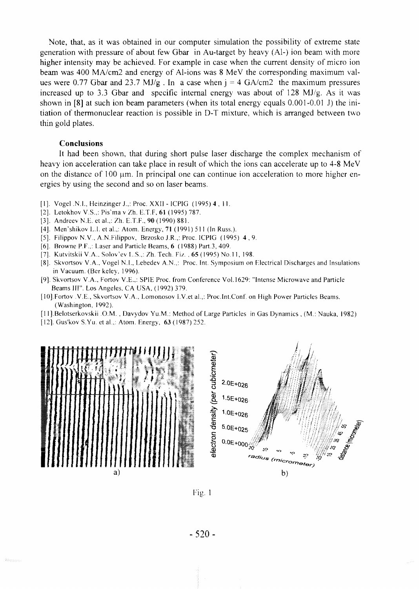Note, that, as it was obtained in our computer simulation the possibility of extreme state generation with pressure of about few Gbar in Au-target by heavy (A1-) ion beam with more higher intensity may be achieved. For example in case when the current density of micro ion beam was 400 MA/cm2 and energy of Al-ions was 8 MeV the corresponding maximum values were 0.77 Gbar and 23.7 MJ/g . In a case when  $j = 4$  GA/cm2 the maximum pressures increased up to 3.3 Gbar and specific internal energy was about of 128 MJ/g. As it was shown in [8] at such ion beam parameters (when its total energy equals 0.001-0.01 J) the initiation of thermonuclear reaction is possible in D-T mixture, which is arranged between two thin gold plates.

#### **Conclusions**

It had been shown, that during short pulse laser discharge the complex mechanism of heavy ion acceleration can take place in result of which the ions can accelerate up to 4-8 MeV on the distance of 100  $\mu$ m. In principal one can continue ion acceleration to more higher energies by using the second and so on laser beams.

- [1]. Vogel .N.I., Heinzinger J.,: Proc. XXII ICPIG (1995) 4, 11.
- [2]. Letokhov V.S.,: Pis'ma v Zh. E.T.F, 61 (1995) 787.
- [3]. Andreev N.E. et al.,: Zh. E.T.F., 90 (1990) 881.
- [4]. Men'shikov L.I. et al.,: Atom. Energy, 71 (1991) 511 (In Russ.).
- [5]. Filippov N.V., A.N.Filippov, Brzosko J.R.,: Proc. ICPIG  $(1995)$  4, 9.
- [6]. Browne P.F.,: Laser and Particle Beams, 6 (1988) Part.3, 409.
- [7]. Kutvitskii V.A.. Solov'ev L.S.,: Zh. Tech. Fiz. , 65 (1995) No. 11, 198.
- [8]. Skvortsov V.A., Vogel N.I., Lebedev A.N.,: Proc. Int. Symposium on Electrical Discharges and Insulations in Vacuum. (Ber keley, 1996).
- [9]. Skvortsov V.A., Fortov V.E.,: SPIE Proc. from Conference Vol.1629: "Intense Microwave and Particle Beams III". Los Angeles, CA USA, (1992) 379.
- [10],Fortov V.E., Skvortsov V.A., Lomonosov I.V.et al.,: Proc.Int.Conf. on High Power Particles Beams. (Washington, 1992).
- [1 l].Belotserkovskii O.M. , Davydov Yu.M.: Method of Large Particles in Gas Dynamics, (M.: Nauka, 1982)
- [12]. Gus'kov S.Yu. et al.,: Atom. Energy, 63 (1987) 252.



Fig. 1